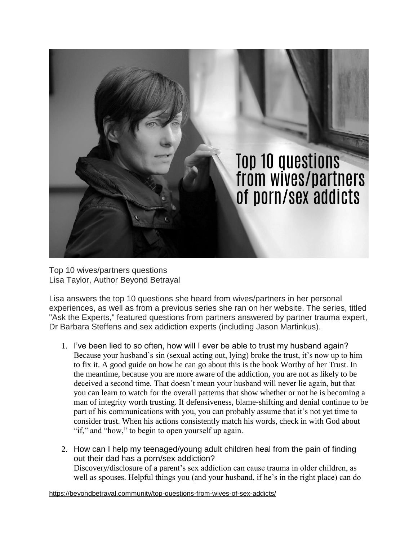

Top 10 wives/partners questions Lisa Taylor, Author Beyond Betrayal

Lisa answers the top 10 questions she heard from wives/partners in her personal experiences, as well as from a previous series she ran on her website. The series, titled "Ask the Experts," featured questions from partners answered by partner trauma expert, Dr Barbara Steffens and sex addiction experts (including Jason Martinkus).

- 1. I've been lied to so often, how will I ever be able to trust my husband again? Because your husband's sin (sexual acting out, lying) broke the trust, it's now up to him to fix it. A good guide on how he can go about this is the book Worthy of her Trust. In the meantime, because you are more aware of the addiction, you are not as likely to be deceived a second time. That doesn't mean your husband will never lie again, but that you can learn to watch for the overall patterns that show whether or not he is becoming a man of integrity worth trusting. If defensiveness, blame-shifting and denial continue to be part of his communications with you, you can probably assume that it's not yet time to consider trust. When his actions consistently match his words, check in with God about "if," and "how," to begin to open yourself up again.
- 2. How can I help my teenaged/young adult children heal from the pain of finding out their dad has a porn/sex addiction? Discovery/disclosure of a parent's sex addiction can cause trauma in older children, as well as spouses. Helpful things you (and your husband, if he's in the right place) can do

<https://beyondbetrayal.community/top-questions-from-wives-of-sex-addicts/>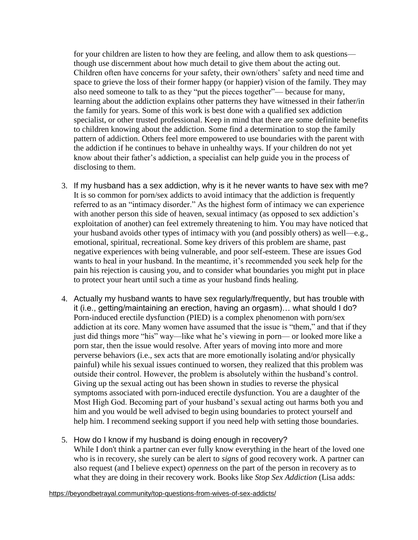for your children are listen to how they are feeling, and allow them to ask questions though use discernment about how much detail to give them about the acting out. Children often have concerns for your safety, their own/others' safety and need time and space to grieve the loss of their former happy (or happier) vision of the family. They may also need someone to talk to as they "put the pieces together"— because for many, learning about the addiction explains other patterns they have witnessed in their father/in the family for years. Some of this work is best done with a qualified sex addiction specialist, or other trusted professional. Keep in mind that there are some definite benefits to children knowing about the addiction. Some find a determination to stop the family pattern of addiction. Others feel more empowered to use boundaries with the parent with the addiction if he continues to behave in unhealthy ways. If your children do not yet know about their father's addiction, a specialist can help guide you in the process of disclosing to them.

- 3. If my husband has a sex addiction, why is it he never wants to have sex with me? It is so common for porn/sex addicts to avoid intimacy that the addiction is frequently referred to as an "intimacy disorder." As the highest form of intimacy we can experience with another person this side of heaven, sexual intimacy (as opposed to sex addiction's exploitation of another) can feel extremely threatening to him. You may have noticed that your husband avoids other types of intimacy with you (and possibly others) as well—e.g., emotional, spiritual, recreational. Some key drivers of this problem are shame, past negative experiences with being vulnerable, and poor self-esteem. These are issues God wants to heal in your husband. In the meantime, it's recommended you seek help for the pain his rejection is causing you, and to consider what boundaries you might put in place to protect your heart until such a time as your husband finds healing.
- 4. Actually my husband wants to have sex regularly/frequently, but has trouble with it (i.e., getting/maintaining an erection, having an orgasm)… what should I do? Porn-induced erectile dysfunction (PIED) is a complex phenomenon with porn/sex addiction at its core. Many women have assumed that the issue is "them," and that if they just did things more "his" way—like what he's viewing in porn— or looked more like a porn star, then the issue would resolve. After years of moving into more and more perverse behaviors (i.e., sex acts that are more emotionally isolating and/or physically painful) while his sexual issues continued to worsen, they realized that this problem was outside their control. However, the problem is absolutely within the husband's control. Giving up the sexual acting out has been shown in studies to reverse the physical symptoms associated with porn-induced erectile dysfunction. You are a daughter of the Most High God. Becoming part of your husband's sexual acting out harms both you and him and you would be well advised to begin using boundaries to protect yourself and help him. I recommend seeking support if you need help with setting those boundaries.
- 5. How do I know if my husband is doing enough in recovery? While I don't think a partner can ever fully know everything in the heart of the loved one who is in recovery, she surely can be alert to *signs* of good recovery work. A partner can also request (and I believe expect) *openness* on the part of the person in recovery as to what they are doing in their recovery work. Books like *Stop Sex Addiction* (Lisa adds:

<https://beyondbetrayal.community/top-questions-from-wives-of-sex-addicts/>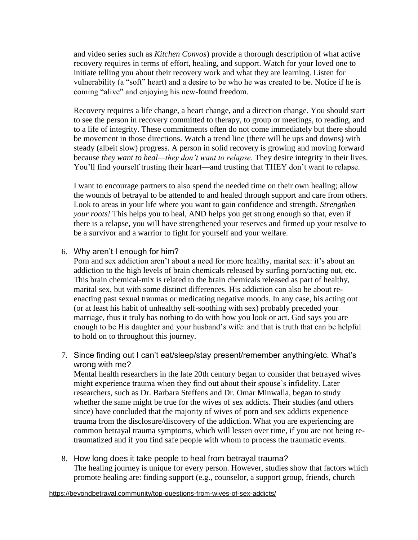and video series such as *Kitchen Convos*) provide a thorough description of what active recovery requires in terms of effort, healing, and support. Watch for your loved one to initiate telling you about their recovery work and what they are learning. Listen for vulnerability (a "soft" heart) and a desire to be who he was created to be. Notice if he is coming "alive" and enjoying his new-found freedom.

Recovery requires a life change, a heart change, and a direction change. You should start to see the person in recovery committed to therapy, to group or meetings, to reading, and to a life of integrity. These commitments often do not come immediately but there should be movement in those directions. Watch a trend line (there will be ups and downs) with steady (albeit slow) progress. A person in solid recovery is growing and moving forward because *they want to heal—they don't want to relapse.* They desire integrity in their lives. You'll find yourself trusting their heart—and trusting that THEY don't want to relapse.

I want to encourage partners to also spend the needed time on their own healing; allow the wounds of betrayal to be attended to and healed through support and care from others. Look to areas in your life where you want to gain confidence and strength. *Strengthen your roots!* This helps you to heal, AND helps you get strong enough so that, even if there is a relapse, you will have strengthened your reserves and firmed up your resolve to be a survivor and a warrior to fight for yourself and your welfare.

6. Why aren't I enough for him?

Porn and sex addiction aren't about a need for more healthy, marital sex: it's about an addiction to the high levels of brain chemicals released by surfing porn/acting out, etc. This brain chemical-mix is related to the brain chemicals released as part of healthy, marital sex, but with some distinct differences. His addiction can also be about reenacting past sexual traumas or medicating negative moods. In any case, his acting out (or at least his habit of unhealthy self-soothing with sex) probably preceded your marriage, thus it truly has nothing to do with how you look or act. God says you are enough to be His daughter and your husband's wife: and that is truth that can be helpful to hold on to throughout this journey.

7. Since finding out I can't eat/sleep/stay present/remember anything/etc. What's wrong with me?

Mental health researchers in the late 20th century began to consider that betrayed wives might experience trauma when they find out about their spouse's infidelity. Later researchers, such as Dr. Barbara Steffens and Dr. Omar Minwalla, began to study whether the same might be true for the wives of sex addicts. Their studies (and others since) have concluded that the majority of wives of porn and sex addicts experience trauma from the disclosure/discovery of the addiction. What you are experiencing are common betrayal trauma symptoms, which will lessen over time, if you are not being retraumatized and if you find safe people with whom to process the traumatic events.

8. How long does it take people to heal from betrayal trauma? The healing journey is unique for every person. However, studies show that factors which promote healing are: finding support (e.g., counselor, a support group, friends, church